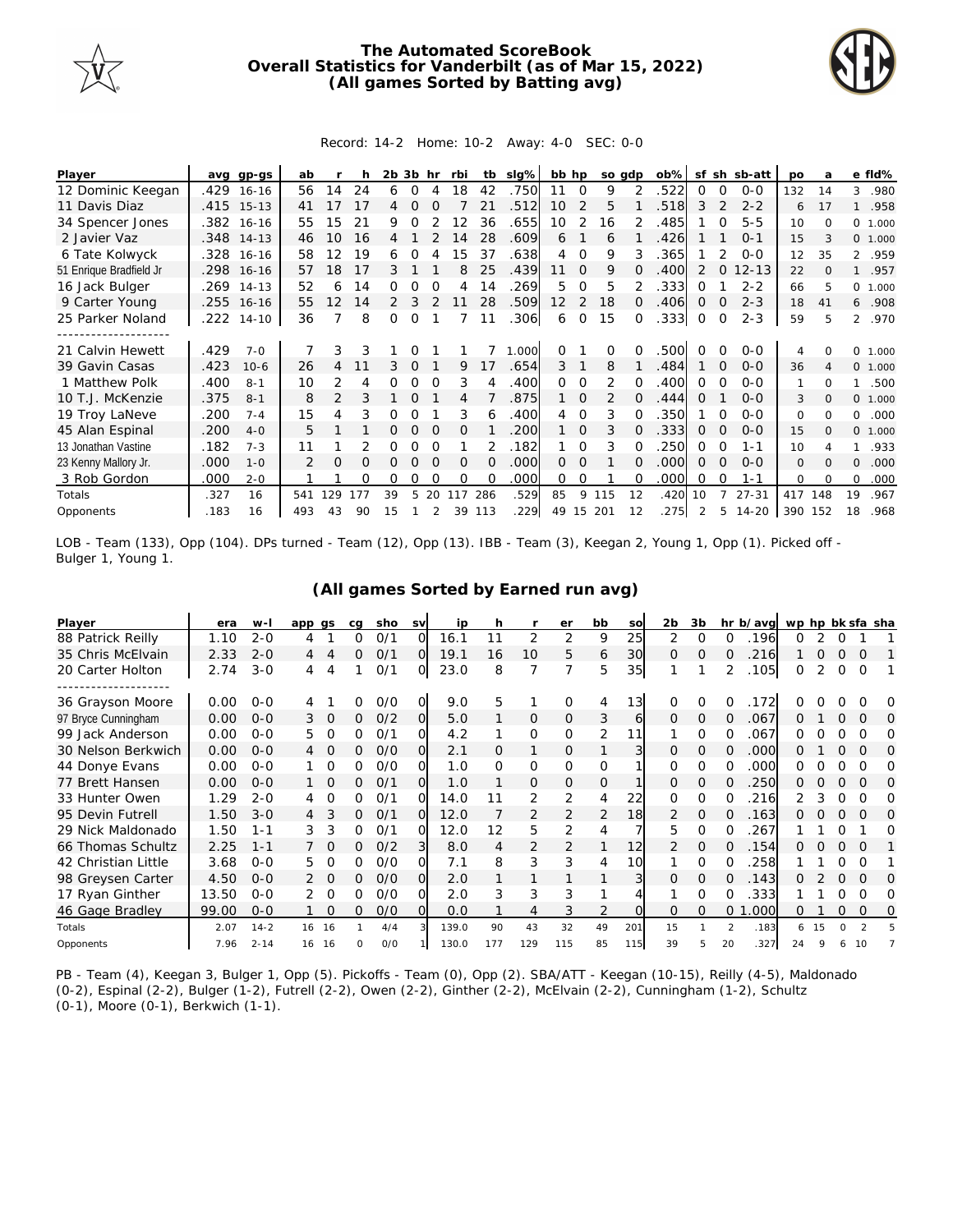

## **The Automated ScoreBook Overall Statistics for Vanderbilt (as of Mar 15, 2022) (All games Sorted by Batting avg)**



## Record: 14-2 Home: 10-2 Away: 4-0 SEC: 0-0

| Player                  | avq  | gp-gs        | ab  |                |                | 2b | 3b       | hr       | rbi      | tb       | slg%  | bb hp             |          |               | so gdp | $ob\%$ | sf             |          | sh sb-att | po           | a        |              | e fld%  |
|-------------------------|------|--------------|-----|----------------|----------------|----|----------|----------|----------|----------|-------|-------------------|----------|---------------|--------|--------|----------------|----------|-----------|--------------|----------|--------------|---------|
| 12 Dominic Keegan       | .429 | $16 - 16$    | 56  | 14             | 24             | 6  | 0        |          | 18       | 42       | .750  | 11                | $\circ$  | 9             |        | 522    | 0              | $\Omega$ | $0 - 0$   | 132          | 14       | 3            | .980    |
| 11 Davis Diaz           |      | .415 15-13   | 41  | 17             | 17             |    | 0        |          |          | 21       | .512  | 10                | 2        | 5             |        | 518    | 3              |          | $2 - 2$   | 6            | 17       |              | .958    |
| 34 Spencer Jones        |      | .382 16-16   | 55  | 15             | 2 <sup>1</sup> | 9  | Ω        |          | 2        | 36       | .655  | 10 <sup>°</sup>   | 2        | 16            |        | 485    |                |          | $5 - 5$   | 10           | $\Omega$ | $\Omega$     | 1.000   |
| 2 Javier Vaz            |      | $.348$ 14-13 | 46  | 10             | 16             |    |          |          | 14       | 28       | .609  | 6                 |          | 6             |        | 426    |                |          | $O - 1$   | 15           |          |              | 0 1.000 |
| 6 Tate Kolwyck          |      | .328 16-16   | 58  | 12             | 19             | 6  |          |          | 15       | 37       | .638  | 4                 | $\Omega$ | 9             | 3      | .365   |                |          | $O-O$     | 12           | 35       |              | 2 .959  |
| 51 Enrique Bradfield Jr | .298 | $16 - 16$    | 57  | 18             | 17             | 3  |          |          | 8        | 25       | .439  | 11                | $\Omega$ | 9             |        | 400    |                |          | $12 - 13$ | 22           | $\Omega$ |              | .957    |
| 16 Jack Bulger          | .269 | $14 - 13$    | 52  | 6              | 14             | 0  |          |          | 4        | 14       | .269  | 5                 | $\Omega$ | 5             |        | .333   | Ω              |          | $2 - 2$   | 66           | 5        | $\circ$      | 1.000   |
| 9 Carter Young          |      | .255 16-16   | 55  | 12             | 14             | 2  | 3        |          | 11       | 28       | .509  | $12 \overline{ }$ | 2        | 18            | 0      | .406   | 0              |          | $2 - 3$   | 18           | 41       | 6            | .908    |
| 25 Parker Noland        | .222 | $14 - 10$    | 36  |                | 8              | 0  | 0        |          |          | 11       | .306  | 6                 | $\Omega$ | 15            |        | .333   | $\overline{0}$ | $\Omega$ | $2 - 3$   | 59           | 5        |              | 2 .970  |
| -----------------       |      |              |     |                |                |    |          |          |          |          |       |                   |          |               |        |        |                |          |           |              |          |              |         |
| 21 Calvin Hewett        | .429 | $7 - 0$      |     | 3              |                |    |          |          |          |          | 1.000 | 0                 |          | 0             |        | 500    |                |          | $0 - 0$   | 4            |          | <sup>o</sup> | 1.000   |
| 39 Gavin Casas          | .423 | $10-6$       | 26  | 4              |                |    |          |          | 9        | 17       | .654  | 3                 |          | 8             |        | 484    |                |          | $0 - 0$   | 36           |          | $\circ$      | 1.000   |
| 1 Matthew Polk          | .400 | $8 - 1$      | 10  | 2              | 4              | 0  | Ω        | 0        | 3        |          | .400  | 0                 | 0        | 2             |        | 400    | 0              | 0        | $0 - 0$   | 1            | $\Omega$ | 1.           | .500    |
| 10 T.J. McKenzie        | .375 | $8 - 1$      | 8   | $\overline{2}$ |                |    |          |          | 4        |          | .875  |                   | $\Omega$ | $\mathcal{P}$ |        | 444    |                |          | $0 - 0$   | 3            | $\Omega$ | $\Omega$     | 1.000   |
| 19 Troy LaNeve          | .200 | $7 - 4$      | 15  | 4              | 3              |    |          |          | 3        | 6        | .400  | 4                 | $\Omega$ | 3             |        | 350    |                |          | $0 - 0$   | 0            | $\Omega$ | 0            | .000    |
| 45 Alan Espinal         | .200 | $4-0$        | 5   |                |                | 0  | $\Omega$ | $\Omega$ | $\Omega$ |          | 200   |                   | $\Omega$ | 3             | 0      | 333    | $\Omega$       | $\Omega$ | $0 - 0$   | 15           | $\Omega$ | $\circ$      | 1.000   |
| 13 Jonathan Vastine     | .182 | $7 - 3$      | 11  |                |                | Ω  | Ω        |          |          |          | .182  |                   | $\Omega$ | 3             |        | 250    | 0              | O        | $1 - 1$   | 10           |          |              | .933    |
| 23 Kenny Mallory Jr.    | .000 | $1 - 0$      |     | $\Omega$       | O              |    |          |          | $\Omega$ | $\Omega$ | .000  | 0                 | $\Omega$ |               |        | .000   | $\Omega$       | $\Omega$ | $0 - 0$   | $\mathbf{O}$ | $\Omega$ | $\Omega$     | .000    |
| 3 Rob Gordon            | .000 | $2 - 0$      |     |                | $\Omega$       | Ω  | Ω        | $\Omega$ | $\Omega$ | $\Omega$ | .000  | 0                 | 0        |               |        | .000   | 0              | $\Omega$ | $1 - 1$   | $\Omega$     | $\Omega$ | $\Omega$     | .000    |
| Totals                  | .327 | 16           | 541 | 129            | 177            | 39 | 5        | 20       | 117      | 286      | .529  | 85                | 9        | 115           | 12     | .420   | 10             |          | $27 - 31$ | 417          | 148      | 19           | .967    |
| Opponents               | .183 | 16           | 493 | 43             | 90             | 15 |          |          | 39       | 113      | .229  | 49                | 15       | 201           | 12     | 275    |                | 5        | $14 - 20$ | 390 152      |          | 18           | .968    |

LOB - Team (133), Opp (104). DPs turned - Team (12), Opp (13). IBB - Team (3), Keegan 2, Young 1, Opp (1). Picked off - Bulger 1, Young 1.

| Player              | era   | w-l      | app gs |                | cg | sho | <b>SV</b>      | ip    | h   |          | er       | bb           | SO              | 2 <sub>b</sub> | 3b       |               | hr b/avg | wp hp bk sfa sha |    |          |               |   |
|---------------------|-------|----------|--------|----------------|----|-----|----------------|-------|-----|----------|----------|--------------|-----------------|----------------|----------|---------------|----------|------------------|----|----------|---------------|---|
| 88 Patrick Reilly   | 1.10  | $2 - 0$  | 4      |                | 0  | O/1 | $\Omega$       | 16.1  |     | 2        | 2        | 9            | 25              | 2              | $\Omega$ | Ω             | 196      | 0                |    |          |               |   |
| 35 Chris McElvain   | 2.33  | $2 - 0$  | 4      | 4              | 0  | 0/1 | $\overline{O}$ | 19.1  | 16  | 10       | 5        | 6            | 30              | $\Omega$       | $\Omega$ |               | 216      |                  | Ω  | $\Omega$ | $\Omega$      |   |
| 20 Carter Holton    | 2.74  | $3 - 0$  | 4      | 4              |    | 0/1 | O              | 23.0  | 8   | 7        | 7        | 5            | 35              |                |          | 2             | .105     | Ω                | 2  | $\Omega$ | $\Omega$      |   |
|                     |       |          |        |                |    |     |                |       |     |          |          |              |                 |                |          |               |          |                  |    |          |               |   |
| 36 Grayson Moore    | 0.00  | $0 - 0$  | 4      |                | 0  | O/O | 0              | 9.0   | 5   |          | $\Omega$ | 4            | 13 <sub>l</sub> | 0              | 0        | 0             | 172      | ∩                |    |          |               | O |
| 97 Bryce Cunningham | 0.00  | $O - O$  | 3      | $\overline{0}$ | 0  | O/2 | O              | 5.0   |     | 0        | 0        | 3            | 6               | 0              | 0        | $\Omega$      | .067     | Ω                |    | 0        | 0             | 0 |
| 99 Jack Anderson    | 0.00  | $0 - 0$  | 5      | 0              | 0  | 0/1 | 0              | 4.2   |     | $\Omega$ | 0        | 2            | 11              |                | 0        | 0             | .067     | Ω                |    | O        | O             | Ω |
| 30 Nelson Berkwich  | 0.00  | $O - O$  | 4      | $\Omega$       | Ω. | O/O | $\Omega$       | 2.1   | Ω   | 1        | 0        |              |                 | 0              | $\Omega$ | Ω             | .000     | Ω                |    | $\Omega$ | O             | O |
| 44 Donye Evans      | 0.00  | $O - O$  |        | 0              | 0  | O/O | Ω              | 1.0   | 0   | O        | 0        | $\Omega$     |                 | 0              | 0        | 0             | .000     | Ω                |    |          | $\Omega$      | Ω |
| 77 Brett Hansen     | 0.00  | $O - O$  |        | $\Omega$       | 0  | 0/1 | O              | 1.0   |     | 0        | 0        | $\mathbf{O}$ |                 | $\Omega$       | $\Omega$ |               | 250      | 0                |    |          | $\Omega$      | O |
| 33 Hunter Owen      | 1.29  | $2 - 0$  |        | 0              | 0  | 0/1 | O              | 14.0  |     | 2        | 2        | 4            | 22              | 0              | 0        | O             | 216      |                  | 3  | 0        | $\Omega$      | Ω |
| 95 Devin Futrell    | 1.50  | $3 - 0$  | 4      | 3              | 0  | O/1 | $\Omega$       | 12.0  |     | 2        | 2        | 2            | 18              | 2              | 0        | 0             | .163     |                  |    |          | O             | O |
| 29 Nick Maldonado   | 1.50  | $1 - 1$  | 3      | 3              | 0  | 0/1 | $\Omega$       | 12.0  | 12  | 5        | 2        | 4            |                 | 5              | O        |               | 267      |                  |    |          |               | Ω |
| 66 Thomas Schultz   | 2.25  | $1 - 1$  |        | $\Omega$       | 0  | O/2 | 3              | 8.0   | 4   | 2        | 2        | 1            | 12              | 2              | $\Omega$ | Ω             | 154      | 0                | 0  | $\Omega$ | $\Omega$      |   |
| 42 Christian Little | 3.68  | $O - O$  | 5      | Ω              | 0  | O/O | Ω              | 7.1   | 8   | 3        | 3        | 4            | 10              |                | 0        |               | 258      |                  |    |          | O             |   |
| 98 Greysen Carter   | 4.50  | $0 - 0$  |        | $\Omega$       | 0  | O/O | $\Omega$       | 2.0   |     |          |          |              |                 | 0              | $\Omega$ | 0             | .143     | 0                |    | $\Omega$ | $\Omega$      | Ω |
| 17 Ryan Ginther     | 13.50 | $O - O$  | 2      | $\Omega$       | Ω  | O/O | 0              | 2.0   | 3   | 3        | 3        |              |                 |                | O        |               | 333      |                  |    |          | $\Omega$      | Ω |
| 46 Gage Bradley     | 99.00 | $O - O$  |        | $\Omega$       | 0  | O/O | $\Omega$       | 0.0   |     | 4        | 3        | 2            | $\Omega$        | 0              | 0        | $\Omega$      | 000<br>1 | Ω                |    | 0        | $\Omega$      | Ω |
| Totals              | 2.07  | $14 - 2$ | 16     | -16            |    | 4/4 | з              | 139.0 | 90  | 43       | 32       | 49           | 201             | 15             |          | $\mathcal{P}$ | .183     | 6                | 15 |          | $\mathcal{P}$ |   |
| Opponents           | 7.96  | $2 - 14$ | 16     | 16             | O  | O/O |                | 130.0 | 177 | 129      | 115      | 85           | 115             | 39             | 5        | 20            | .327     | 24               | Q  |          | 10            |   |

**(All games Sorted by Earned run avg)**

PB - Team (4), Keegan 3, Bulger 1, Opp (5). Pickoffs - Team (0), Opp (2). SBA/ATT - Keegan (10-15), Reilly (4-5), Maldonado (0-2), Espinal (2-2), Bulger (1-2), Futrell (2-2), Owen (2-2), Ginther (2-2), McElvain (2-2), Cunningham (1-2), Schultz (0-1), Moore (0-1), Berkwich (1-1).